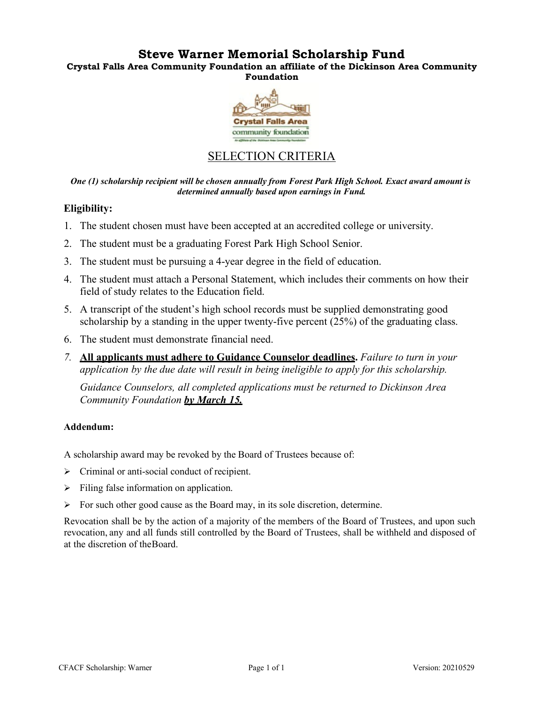# **Steve Warner Memorial Scholarship Fund**

**Crystal Falls Area Community Foundation an affiliate of the Dickinson Area Community Foundation**



# SELECTION CRITERIA

*One (1) scholarship recipient will be chosen annually from Forest Park High School. Exact award amount is determined annually based upon earnings in Fund.*

## **Eligibility:**

- 1. The student chosen must have been accepted at an accredited college or university.
- 2. The student must be a graduating Forest Park High School Senior.
- 3. The student must be pursuing a 4-year degree in the field of education.
- 4. The student must attach a Personal Statement, which includes their comments on how their field of study relates to the Education field.
- 5. A transcript of the student's high school records must be supplied demonstrating good scholarship by a standing in the upper twenty-five percent (25%) of the graduating class.
- 6. The student must demonstrate financial need.
- *7.* **All applicants must adhere to Guidance Counselor deadlines.** *Failure to turn in your application by the due date will result in being ineligible to apply for this scholarship.*

*Guidance Counselors, all completed applications must be returned to Dickinson Area Community Foundation by March 15.*

## **Addendum:**

A scholarship award may be revoked by the Board of Trustees because of:

- $\triangleright$  Criminal or anti-social conduct of recipient.
- $\triangleright$  Filing false information on application.
- $\triangleright$  For such other good cause as the Board may, in its sole discretion, determine.

Revocation shall be by the action of a majority of the members of the Board of Trustees, and upon such revocation, any and all funds still controlled by the Board of Trustees, shall be withheld and disposed of at the discretion of theBoard.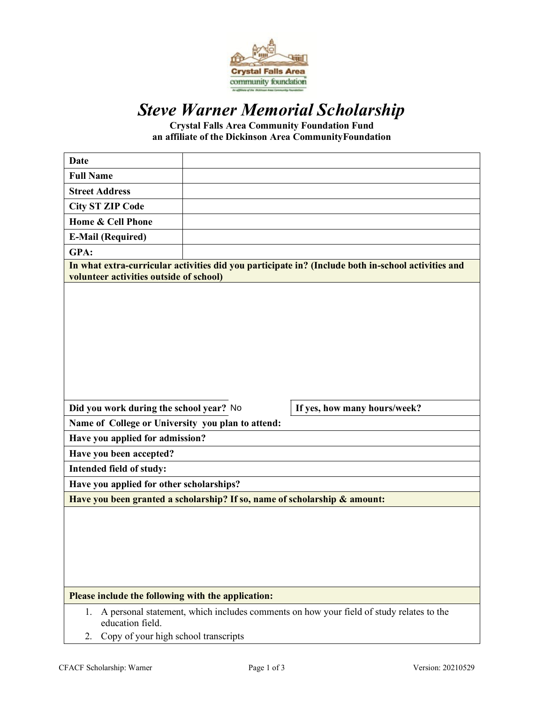

# *Steve Warner Memorial Scholarship*

**Crystal Falls Area Community Foundation Fund an affiliate of the Dickinson Area CommunityFoundation**

| <b>Date</b>                                                                                                                                                     |                              |
|-----------------------------------------------------------------------------------------------------------------------------------------------------------------|------------------------------|
| <b>Full Name</b>                                                                                                                                                |                              |
| <b>Street Address</b>                                                                                                                                           |                              |
| <b>City ST ZIP Code</b>                                                                                                                                         |                              |
| Home & Cell Phone                                                                                                                                               |                              |
| <b>E-Mail (Required)</b>                                                                                                                                        |                              |
| GPA:                                                                                                                                                            |                              |
| In what extra-curricular activities did you participate in? (Include both in-school activities and<br>volunteer activities outside of school)                   |                              |
|                                                                                                                                                                 |                              |
| Did you work during the school year? No                                                                                                                         | If yes, how many hours/week? |
| Name of College or University you plan to attend:                                                                                                               |                              |
| Have you applied for admission?                                                                                                                                 |                              |
| Have you been accepted?                                                                                                                                         |                              |
| Intended field of study:                                                                                                                                        |                              |
| Have you applied for other scholarships?                                                                                                                        |                              |
| Have you been granted a scholarship? If so, name of scholarship & amount:                                                                                       |                              |
|                                                                                                                                                                 |                              |
| Please include the following with the application:                                                                                                              |                              |
| A personal statement, which includes comments on how your field of study relates to the<br>1.<br>education field.<br>Copy of your high school transcripts<br>2. |                              |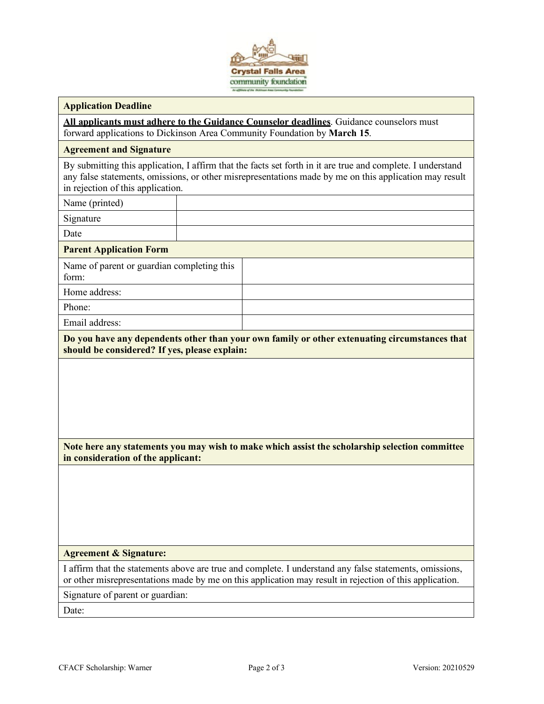

#### **Application Deadline**

**All applicants must adhere to the Guidance Counselor deadlines**. Guidance counselors must forward applications to Dickinson Area Community Foundation by **March 15**.

#### **Agreement and Signature**

By submitting this application, I affirm that the facts set forth in it are true and complete. I understand any false statements, omissions, or other misrepresentations made by me on this application may result in rejection of this application.

Name (printed)

Signature

Date

#### **Parent Application Form**

Name of parent or guardian completing this form:

Home address:

Phone:

Email address:

**Do you have any dependents other than your own family or other extenuating circumstances that should be considered? If yes, please explain:**

**Note here any statements you may wish to make which assist the scholarship selection committee in consideration of the applicant:**

#### **Agreement & Signature:**

I affirm that the statements above are true and complete. I understand any false statements, omissions, or other misrepresentations made by me on this application may result in rejection of this application.

Signature of parent or guardian:

Date: